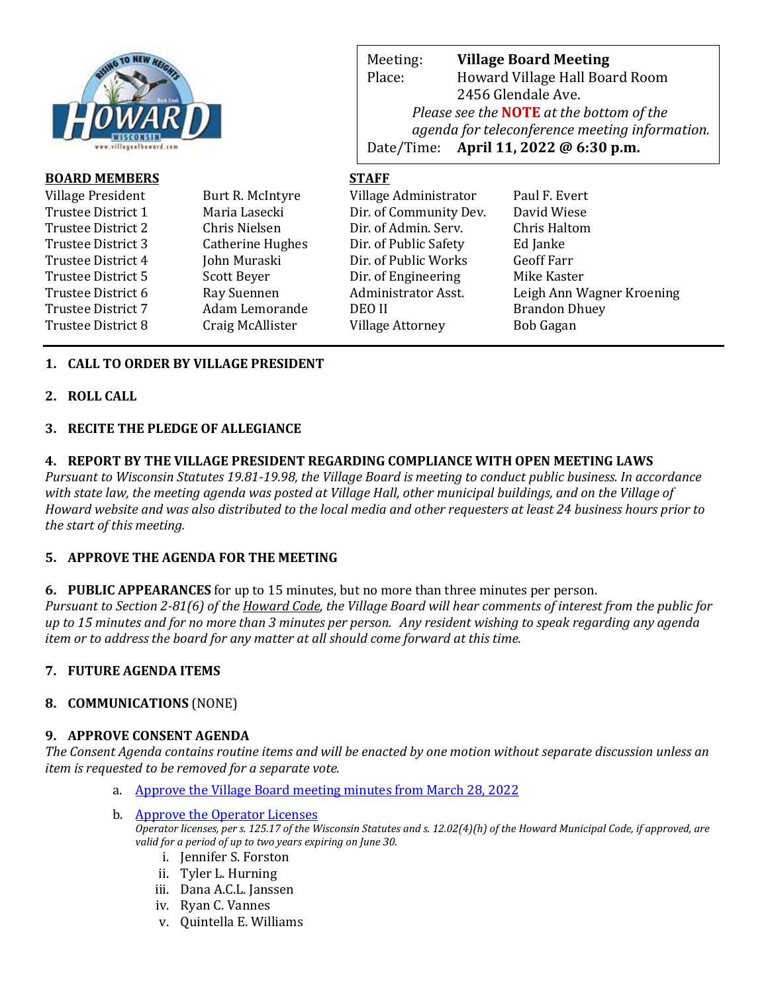

| <b>BOARD MEMBERS</b> |                  | <b>STAFF</b>            |                           |
|----------------------|------------------|-------------------------|---------------------------|
| Village President    | Burt R. McIntyre | Village Administrator   | Paul F. Evert             |
| Trustee District 1   | Maria Lasecki    | Dir. of Community Dev.  | David Wiese               |
| Trustee District 2   | Chris Nielsen    | Dir. of Admin. Serv.    | Chris Haltom              |
| Trustee District 3   | Catherine Hughes | Dir. of Public Safety   | Ed Janke                  |
| Trustee District 4   | John Muraski     | Dir. of Public Works    | <b>Geoff Farr</b>         |
| Trustee District 5   | Scott Beyer      | Dir. of Engineering     | Mike Kaster               |
| Trustee District 6   | Ray Suennen      | Administrator Asst.     | Leigh Ann Wagner Kroening |
| Trustee District 7   | Adam Lemorande   | DEO II                  | <b>Brandon Dhuey</b>      |
| Trustee District 8   | Craig McAllister | <b>Village Attorney</b> | Bob Gagan                 |
|                      |                  |                         |                           |

Meeting: **Village Board Meeting**

Place: Howard Village Hall Board Room 2456 Glendale Ave.

Date/Time: **April 11, 2022 @ 6:30 p.m.**

*Please see the* **NOTE** *at the bottom of the* 

*agenda for teleconference meeting information.* 

# **1. CALL TO ORDER BY VILLAGE PRESIDENT**

#### **2. ROLL CALL**

#### **3. RECITE THE PLEDGE OF ALLEGIANCE**

#### **4. REPORT BY THE VILLAGE PRESIDENT REGARDING COMPLIANCE WITH OPEN MEETING LAWS**

*Pursuant to Wisconsin Statutes 19.81-19.98, the Village Board is meeting to conduct public business. In accordance with state law, the meeting agenda was posted at Village Hall, other municipal buildings, and on the Village of Howard website and was also distributed to the local media and other requesters at least 24 business hours prior to the start of this meeting.* 

# **5. APPROVE THE AGENDA FOR THE MEETING**

# **6. PUBLIC APPEARANCES** for up to 15 minutes, but no more than three minutes per person.

*Pursuant to Section 2-81(6) of the Howard Code, the Village Board will hear comments of interest from the public for up to 15 minutes and for no more than 3 minutes per person. Any resident wishing to speak regarding any agenda item or to address the board for any matter at all should come forward at this time.* 

# **7. FUTURE AGENDA ITEMS**

# **8. COMMUNICATIONS** (NONE)

# **9. APPROVE CONSENT AGENDA**

*The Consent Agenda contains routine items and will be enacted by one motion without separate discussion unless an item is requested to be removed for a separate vote.*

- a. [Approve the Village Board meeting minutes from March 28, 2022](https://www.villageofhoward.com/DocumentCenter/View/8244/9a-VB-Minutes-03-28-22)
- b. [Approve the Operator Licenses](https://www.villageofhoward.com/DocumentCenter/View/8245/9b-Operator-Licenses) *Operator licenses, per s. 125.17 of the Wisconsin Statutes and s. 12.02(4)(h) of the Howard Municipal Code, if approved, are valid for a period of up to two years expiring on June 30.*
	- i. Jennifer S. Forston
	- ii. Tyler L. Hurning
	- iii. Dana A.C.L. Janssen
	- iv. Ryan C. Vannes
	- v. Quintella E. Williams